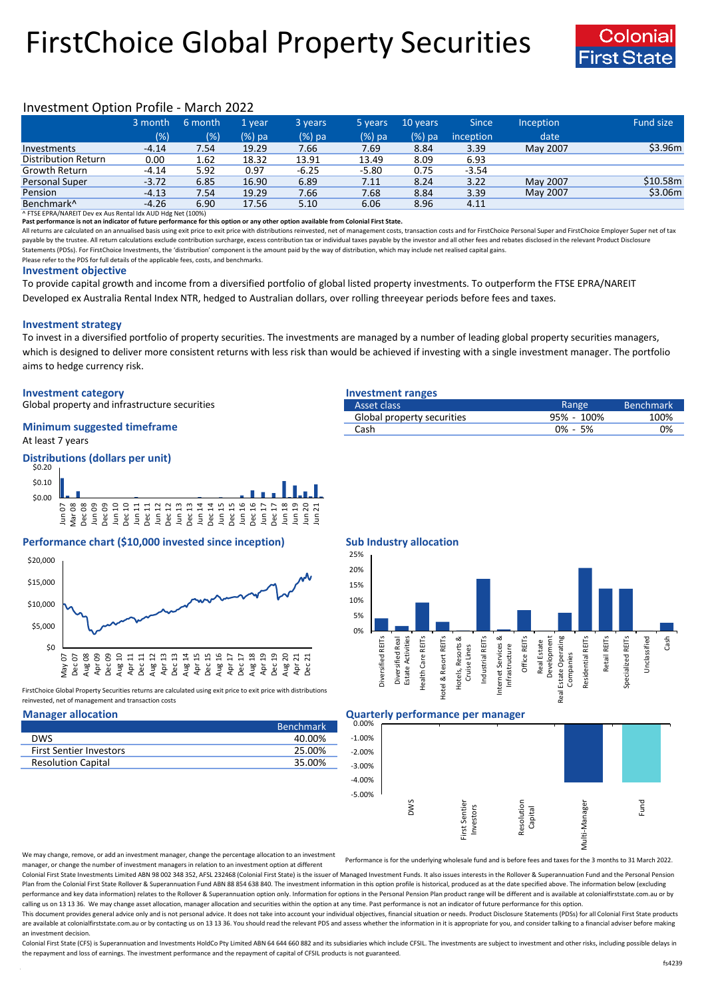# FirstChoice Global Property Securities



## Investment Option Profile - March 2022

|                            | 3 month | 6 month | 1 year   | 3 years | 5 years  | 10 years | <b>Since</b>     | Inception | <b>Fund size</b> |
|----------------------------|---------|---------|----------|---------|----------|----------|------------------|-----------|------------------|
|                            | (% )    | (%)     | $(%)$ pa | (%) pa  | $(%)$ pa | $(%)$ pa | <i>inception</i> | date      |                  |
| Investments                | $-4.14$ | 7.54    | 19.29    | 7.66    | 7.69     | 8.84     | 3.39             | May 2007  | \$3.96m          |
| <b>Distribution Return</b> | 0.00    | 1.62    | 18.32    | 13.91   | 13.49    | 8.09     | 6.93             |           |                  |
| Growth Return              | $-4.14$ | 5.92    | 0.97     | $-6.25$ | $-5.80$  | 0.75     | $-3.54$          |           |                  |
| Personal Super             | $-3.72$ | 6.85    | 16.90    | 6.89    | 7.11     | 8.24     | 3.22             | May 2007  | \$10.58m         |
| Pension                    | $-4.13$ | 7.54    | 19.29    | 7.66    | 7.68     | 8.84     | 3.39             | May 2007  | \$3.06m          |
| Benchmark <sup>^</sup>     | $-4.26$ | 6.90    | 17.56    | 5.10    | 6.06     | 8.96     | 4.11             |           |                  |

^ FTSE EPRA/NAREIT Dev ex Aus Rental Idx AUD Hdg Net (100%)

**Past performance is not an indicator of future performance for this option or any other option available from Colonial First State.**

All returns are calculated on an annualised basis using exit price to exit price with distributions reinvested, net of management costs, transaction costs and for FirstChoice Personal Super and FirstChoice Employer Super n payable by the trustee. All return calculations exclude contribution surcharge, excess contribution tax or individual taxes payable by the investor and all other fees and rebates disclosed in the relevant Product Disclosur Statements (PDSs). For FirstChoice Investments, the 'distribution' component is the amount paid by the way of distribution, which may include net realised capital gains.

Please refer to the PDS for full details of the applicable fees, costs, and benchmarks.

### **Investment objective**

To provide capital growth and income from a diversified portfolio of global listed property investments. To outperform the FTSE EPRA/NAREIT Developed ex Australia Rental Index NTR, hedged to Australian dollars, over rolling threeyear periods before fees and taxes.

### **Investment strategy**

To invest in a diversified portfolio of property securities. The investments are managed by a number of leading global property securities managers, which is designed to deliver more consistent returns with less risk than would be achieved if investing with a single investment manager. The portfolio aims to hedge currency risk.

### **Investment category Investment ranges**

Global property and infrastructure securities

### At least 7 years **Minimum suggested timeframe**

### **Distributions (dollars per unit)** \$0.20



### **Performance chart (\$10,000 invested since inception) Sub Industry allocation**



FirstChoice Global Property Securities returns are calculated using exit price to exit price with distributions reinvested, net of management and transaction costs

| <b>Benchmark</b> |
|------------------|
| 40.00%           |
| 25.00%           |
| 35.00%           |
|                  |

| Asset class                | Range       | <b>Benchmark</b> |
|----------------------------|-------------|------------------|
| Global property securities | 95% - 100%  | 100%             |
| Cash                       | $0\% - 5\%$ | 0%               |
|                            |             |                  |



### **Manager allocation Quarterly performance per manager**



We may change, remove, or add an investment manager, change the percentage allocation to an investment manager, or change the number of investment managers in relation to an investment option at different

Performance is for the underlying wholesale fund and is before fees and taxes for the 3 months to 31 March 2022.

Colonial First State Investments Limited ABN 98 002 348 352, AFSL 232468 (Colonial First State) is the issuer of Managed Investment Funds. It also issues interests in the Rollover & Superannuation Fund and the Personal Pen Plan from the Colonial First State Rollover & Superannuation Fund ABN 88 854 638 840. The investment information in this option profile is historical, produced as at the date specified above. The information below (excludi performance and key data information) relates to the Rollover & Superannuation option only. Information for options in the Personal Pension Plan product range will be different and is available at colonialfirststate.com.au calling us on 13 13 36. We may change asset allocation, manager allocation and securities within the option at any time. Past performance is not an indicator of future performance for this option

This document provides general advice only and is not personal advice. It does not take into account your individual objectives, financial situation or needs. Product Disclosure Statements (PDSs) for all Colonial First Sta are available at colonialfirststate.com.au or by contacting us on 13 13 36. You should read the relevant PDS and assess whether the information in it is appropriate for you, and consider talking to a financial adviser befo an investment decision.

Colonial First State (CFS) is Superannuation and Investments HoldCo Ptv Limited ABN 64 644 660 882 and its subsidiaries which include CFSIL. The investments are subject to investment and other risks, including possible del the repayment and loss of earnings. The investment performance and the repayment of capital of CFSIL products is not guaranteed.